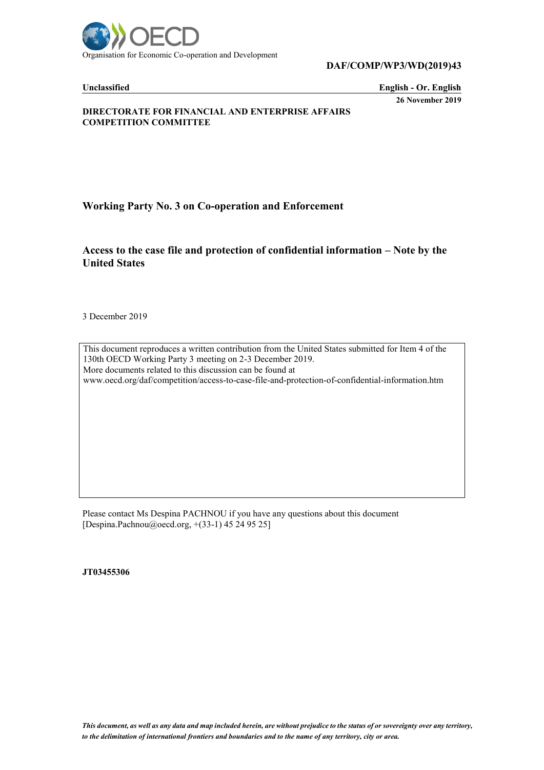

**DAF/COMP/WP3/WD(2019)43**

**Unclassified English - Or. English 26 November 2019**

**DIRECTORATE FOR FINANCIAL AND ENTERPRISE AFFAIRS COMPETITION COMMITTEE**

**Working Party No. 3 on Co-operation and Enforcement**

**Access to the case file and protection of confidential information – Note by the United States**

3 December 2019

This document reproduces a written contribution from the United States submitted for Item 4 of the 130th OECD Working Party 3 meeting on 2-3 December 2019. More documents related to this discussion can be found at

www.oecd.org/daf/competition/access-to-case-file-and-protection-of-confidential-information.htm

Please contact Ms Despina PACHNOU if you have any questions about this document [Despina.Pachnou@oecd.org, +(33-1) 45 24 95 25]

**JT03455306**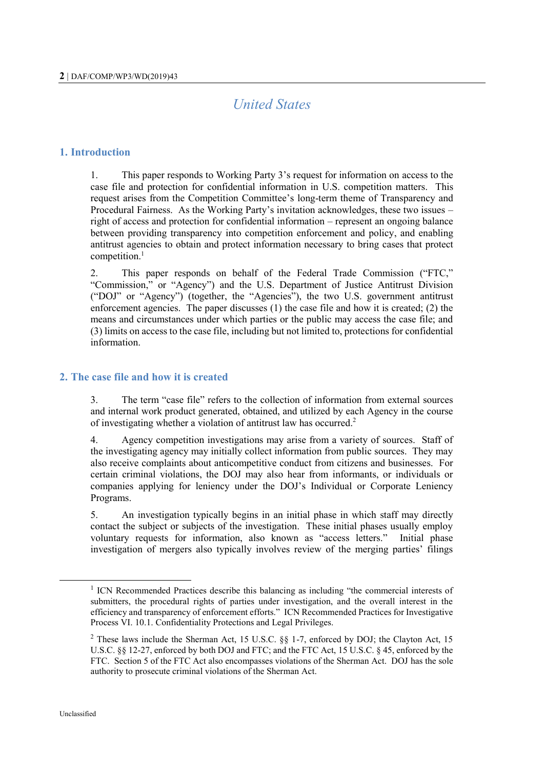# *United States*

#### **1. Introduction**

1. This paper responds to Working Party 3's request for information on access to the case file and protection for confidential information in U.S. competition matters. This request arises from the Competition Committee's long-term theme of Transparency and Procedural Fairness. As the Working Party's invitation acknowledges, these two issues – right of access and protection for confidential information – represent an ongoing balance between providing transparency into competition enforcement and policy, and enabling antitrust agencies to obtain and protect information necessary to bring cases that protect competition. 1

2. This paper responds on behalf of the Federal Trade Commission ("FTC," "Commission," or "Agency") and the U.S. Department of Justice Antitrust Division ("DOJ" or "Agency") (together, the "Agencies"), the two U.S. government antitrust enforcement agencies. The paper discusses (1) the case file and how it is created; (2) the means and circumstances under which parties or the public may access the case file; and (3) limits on access to the case file, including but not limited to, protections for confidential information.

## **2. The case file and how it is created**

3. The term "case file" refers to the collection of information from external sources and internal work product generated, obtained, and utilized by each Agency in the course of investigating whether a violation of antitrust law has occurred.<sup>2</sup>

4. Agency competition investigations may arise from a variety of sources. Staff of the investigating agency may initially collect information from public sources. They may also receive complaints about anticompetitive conduct from citizens and businesses. For certain criminal violations, the DOJ may also hear from informants, or individuals or companies applying for leniency under the DOJ's Individual or Corporate Leniency Programs.

5. An investigation typically begins in an initial phase in which staff may directly contact the subject or subjects of the investigation. These initial phases usually employ voluntary requests for information, also known as "access letters." Initial phase investigation of mergers also typically involves review of the merging parties' filings

<sup>&</sup>lt;sup>1</sup> ICN Recommended Practices describe this balancing as including "the commercial interests of submitters, the procedural rights of parties under investigation, and the overall interest in the efficiency and transparency of enforcement efforts." ICN Recommended Practices for Investigative Process VI. 10.1. Confidentiality Protections and Legal Privileges.

<sup>&</sup>lt;sup>2</sup> These laws include the Sherman Act, 15 U.S.C. §§ 1-7, enforced by DOJ; the Clayton Act, 15 U.S.C. §§ 12-27, enforced by both DOJ and FTC; and the FTC Act, 15 U.S.C. § 45, enforced by the FTC. Section 5 of the FTC Act also encompasses violations of the Sherman Act. DOJ has the sole authority to prosecute criminal violations of the Sherman Act.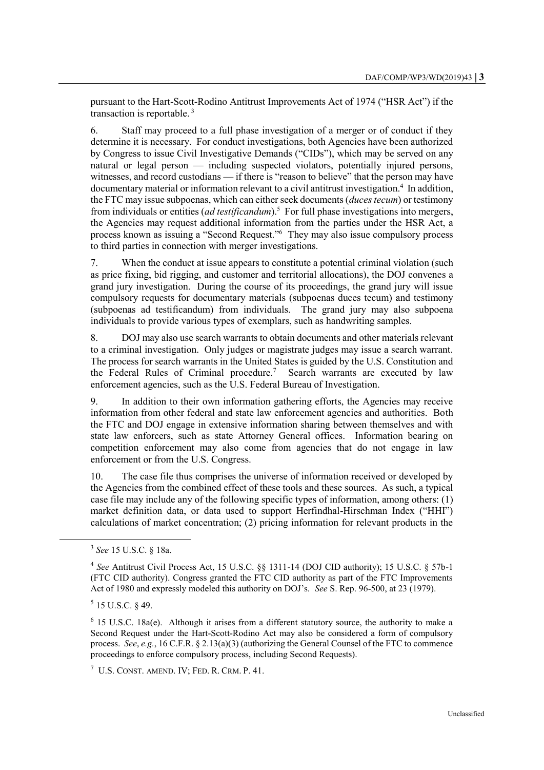pursuant to the Hart-Scott-Rodino Antitrust Improvements Act of 1974 ("HSR Act") if the transaction is reportable. <sup>3</sup>

6. Staff may proceed to a full phase investigation of a merger or of conduct if they determine it is necessary. For conduct investigations, both Agencies have been authorized by Congress to issue Civil Investigative Demands ("CIDs"), which may be served on any natural or legal person — including suspected violators, potentially injured persons, witnesses, and record custodians — if there is "reason to believe" that the person may have documentary material or information relevant to a civil antitrust investigation.<sup>4</sup> In addition, the FTC may issue subpoenas, which can either seek documents (*duces tecum*) or testimony from individuals or entities (*ad testificandum*).<sup>5</sup> For full phase investigations into mergers, the Agencies may request additional information from the parties under the HSR Act, a process known as issuing a "Second Request."<sup>6</sup> They may also issue compulsory process to third parties in connection with merger investigations.

7. When the conduct at issue appears to constitute a potential criminal violation (such as price fixing, bid rigging, and customer and territorial allocations), the DOJ convenes a grand jury investigation. During the course of its proceedings, the grand jury will issue compulsory requests for documentary materials (subpoenas duces tecum) and testimony (subpoenas ad testificandum) from individuals. The grand jury may also subpoena individuals to provide various types of exemplars, such as handwriting samples.

8. DOJ may also use search warrants to obtain documents and other materials relevant to a criminal investigation. Only judges or magistrate judges may issue a search warrant. The process for search warrants in the United States is guided by the U.S. Constitution and the Federal Rules of Criminal procedure.<sup>7</sup> Search warrants are executed by law enforcement agencies, such as the U.S. Federal Bureau of Investigation.

9. In addition to their own information gathering efforts, the Agencies may receive information from other federal and state law enforcement agencies and authorities. Both the FTC and DOJ engage in extensive information sharing between themselves and with state law enforcers, such as state Attorney General offices. Information bearing on competition enforcement may also come from agencies that do not engage in law enforcement or from the U.S. Congress.

10. The case file thus comprises the universe of information received or developed by the Agencies from the combined effect of these tools and these sources. As such, a typical case file may include any of the following specific types of information, among others: (1) market definition data, or data used to support Herfindhal-Hirschman Index ("HHI") calculations of market concentration; (2) pricing information for relevant products in the

<sup>3</sup> *See* 15 U.S.C. § 18a.

<sup>4</sup> *See* Antitrust Civil Process Act, 15 U.S.C. §§ 1311-14 (DOJ CID authority); 15 U.S.C. § 57b-1 (FTC CID authority). Congress granted the FTC CID authority as part of the FTC Improvements Act of 1980 and expressly modeled this authority on DOJ's. *See* S. Rep. 96-500, at 23 (1979).

 $5$  15 U.S.C. § 49.

 $6$  15 U.S.C. 18a(e). Although it arises from a different statutory source, the authority to make a Second Request under the Hart-Scott-Rodino Act may also be considered a form of compulsory process. *See*, *e.g.*, 16 C.F.R. § 2.13(a)(3) (authorizing the General Counsel of the FTC to commence proceedings to enforce compulsory process, including Second Requests).

 $7$  U.S. CONST. AMEND. IV; FED. R. CRM. P. 41.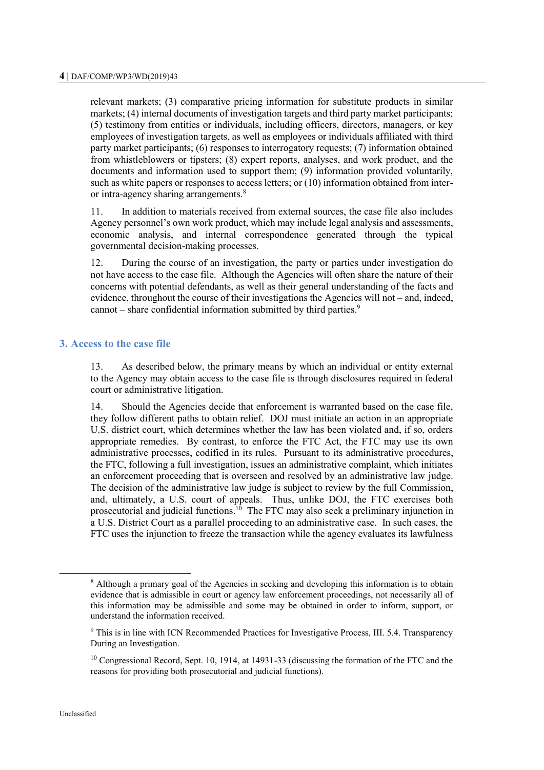relevant markets; (3) comparative pricing information for substitute products in similar markets; (4) internal documents of investigation targets and third party market participants; (5) testimony from entities or individuals, including officers, directors, managers, or key employees of investigation targets, as well as employees or individuals affiliated with third party market participants; (6) responses to interrogatory requests; (7) information obtained from whistleblowers or tipsters; (8) expert reports, analyses, and work product, and the documents and information used to support them; (9) information provided voluntarily, such as white papers or responses to access letters; or (10) information obtained from interor intra-agency sharing arrangements.<sup>8</sup>

11. In addition to materials received from external sources, the case file also includes Agency personnel's own work product, which may include legal analysis and assessments, economic analysis, and internal correspondence generated through the typical governmental decision-making processes.

12. During the course of an investigation, the party or parties under investigation do not have access to the case file. Although the Agencies will often share the nature of their concerns with potential defendants, as well as their general understanding of the facts and evidence, throughout the course of their investigations the Agencies will not – and, indeed, cannot – share confidential information submitted by third parties.<sup>9</sup>

## **3. Access to the case file**

13. As described below, the primary means by which an individual or entity external to the Agency may obtain access to the case file is through disclosures required in federal court or administrative litigation.

14. Should the Agencies decide that enforcement is warranted based on the case file, they follow different paths to obtain relief. DOJ must initiate an action in an appropriate U.S. district court, which determines whether the law has been violated and, if so, orders appropriate remedies. By contrast, to enforce the FTC Act, the FTC may use its own administrative processes, codified in its rules. Pursuant to its administrative procedures, the FTC, following a full investigation, issues an administrative complaint, which initiates an enforcement proceeding that is overseen and resolved by an administrative law judge. The decision of the administrative law judge is subject to review by the full Commission, and, ultimately, a U.S. court of appeals. Thus, unlike DOJ, the FTC exercises both prosecutorial and judicial functions.<sup>10</sup> The FTC may also seek a preliminary injunction in a U.S. District Court as a parallel proceeding to an administrative case. In such cases, the FTC uses the injunction to freeze the transaction while the agency evaluates its lawfulness

<sup>&</sup>lt;sup>8</sup> Although a primary goal of the Agencies in seeking and developing this information is to obtain evidence that is admissible in court or agency law enforcement proceedings, not necessarily all of this information may be admissible and some may be obtained in order to inform, support, or understand the information received.

<sup>&</sup>lt;sup>9</sup> This is in line with ICN Recommended Practices for Investigative Process, III. 5.4. Transparency During an Investigation.

<sup>&</sup>lt;sup>10</sup> Congressional Record, Sept. 10, 1914, at 14931-33 (discussing the formation of the FTC and the reasons for providing both prosecutorial and judicial functions).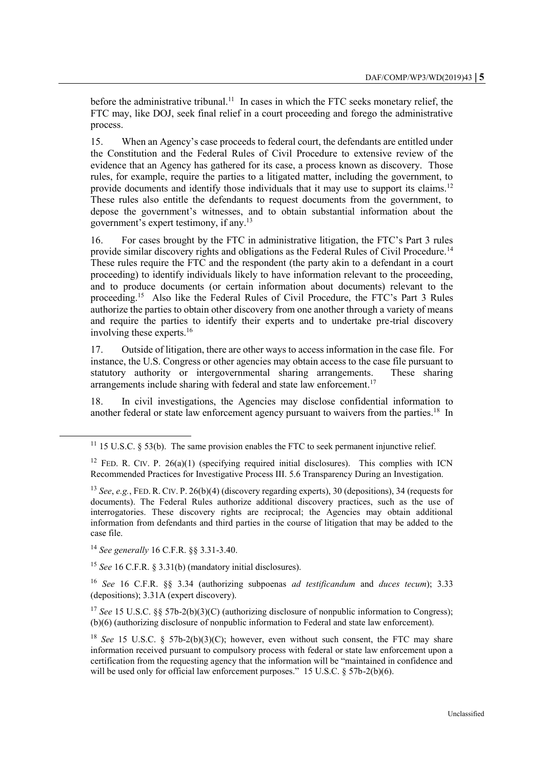before the administrative tribunal.<sup>11</sup> In cases in which the FTC seeks monetary relief, the FTC may, like DOJ, seek final relief in a court proceeding and forego the administrative process.

15. When an Agency's case proceeds to federal court, the defendants are entitled under the Constitution and the Federal Rules of Civil Procedure to extensive review of the evidence that an Agency has gathered for its case, a process known as discovery. Those rules, for example, require the parties to a litigated matter, including the government, to provide documents and identify those individuals that it may use to support its claims.<sup>12</sup> These rules also entitle the defendants to request documents from the government, to depose the government's witnesses, and to obtain substantial information about the government's expert testimony, if any.<sup>13</sup>

16. For cases brought by the FTC in administrative litigation, the FTC's Part 3 rules provide similar discovery rights and obligations as the Federal Rules of Civil Procedure.<sup>14</sup> These rules require the FTC and the respondent (the party akin to a defendant in a court proceeding) to identify individuals likely to have information relevant to the proceeding, and to produce documents (or certain information about documents) relevant to the proceeding.<sup>15</sup> Also like the Federal Rules of Civil Procedure, the FTC's Part 3 Rules authorize the parties to obtain other discovery from one another through a variety of means and require the parties to identify their experts and to undertake pre-trial discovery involving these experts.<sup>16</sup>

17. Outside of litigation, there are other ways to access information in the case file. For instance, the U.S. Congress or other agencies may obtain access to the case file pursuant to statutory authority or intergovernmental sharing arrangements. These sharing arrangements include sharing with federal and state law enforcement.<sup>17</sup>

18. In civil investigations, the Agencies may disclose confidential information to another federal or state law enforcement agency pursuant to waivers from the parties.<sup>18</sup> In

<sup>14</sup> *See generally* 16 C.F.R. §§ 3.31-3.40.

l

<sup>15</sup> *See* 16 C.F.R. § 3.31(b) (mandatory initial disclosures).

<sup>16</sup> *See* 16 C.F.R. §§ 3.34 (authorizing subpoenas *ad testificandum* and *duces tecum*); 3.33 (depositions); 3.31A (expert discovery).

<sup>17</sup> *See* 15 U.S.C. §§ 57b-2(b)(3)(C) (authorizing disclosure of nonpublic information to Congress); (b)(6) (authorizing disclosure of nonpublic information to Federal and state law enforcement).

<sup>18</sup> *See* 15 U.S.C. § 57b-2(b)(3)(C); however, even without such consent, the FTC may share information received pursuant to compulsory process with federal or state law enforcement upon a certification from the requesting agency that the information will be "maintained in confidence and will be used only for official law enforcement purposes." 15 U.S.C. § 57b-2(b)(6).

 $11$  15 U.S.C.  $\delta$  53(b). The same provision enables the FTC to seek permanent injunctive relief.

<sup>&</sup>lt;sup>12</sup> FED. R. CIV. P.  $26(a)(1)$  (specifying required initial disclosures). This complies with ICN Recommended Practices for Investigative Process III. 5.6 Transparency During an Investigation.

<sup>13</sup> *See*, *e.g.*, FED. R. CIV. P. 26(b)(4) (discovery regarding experts), 30 (depositions), 34 (requests for documents). The Federal Rules authorize additional discovery practices, such as the use of interrogatories. These discovery rights are reciprocal; the Agencies may obtain additional information from defendants and third parties in the course of litigation that may be added to the case file.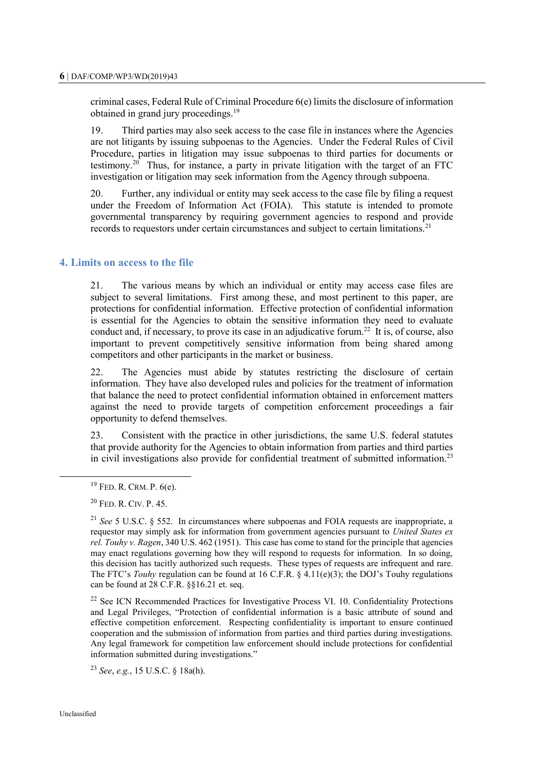criminal cases, Federal Rule of Criminal Procedure 6(e) limits the disclosure of information obtained in grand jury proceedings.<sup>19</sup>

19. Third parties may also seek access to the case file in instances where the Agencies are not litigants by issuing subpoenas to the Agencies. Under the Federal Rules of Civil Procedure, parties in litigation may issue subpoenas to third parties for documents or testimony.<sup>20</sup> Thus, for instance, a party in private litigation with the target of an FTC investigation or litigation may seek information from the Agency through subpoena.

20. Further, any individual or entity may seek access to the case file by filing a request under the Freedom of Information Act (FOIA). This statute is intended to promote governmental transparency by requiring government agencies to respond and provide records to requestors under certain circumstances and subject to certain limitations.<sup>21</sup>

#### **4. Limits on access to the file**

21. The various means by which an individual or entity may access case files are subject to several limitations. First among these, and most pertinent to this paper, are protections for confidential information. Effective protection of confidential information is essential for the Agencies to obtain the sensitive information they need to evaluate conduct and, if necessary, to prove its case in an adjudicative forum.<sup>22</sup> It is, of course, also important to prevent competitively sensitive information from being shared among competitors and other participants in the market or business.

22. The Agencies must abide by statutes restricting the disclosure of certain information. They have also developed rules and policies for the treatment of information that balance the need to protect confidential information obtained in enforcement matters against the need to provide targets of competition enforcement proceedings a fair opportunity to defend themselves.

23. Consistent with the practice in other jurisdictions, the same U.S. federal statutes that provide authority for the Agencies to obtain information from parties and third parties in civil investigations also provide for confidential treatment of submitted information.<sup>23</sup>

 $22$  See ICN Recommended Practices for Investigative Process VI. 10. Confidentiality Protections and Legal Privileges, "Protection of confidential information is a basic attribute of sound and effective competition enforcement. Respecting confidentiality is important to ensure continued cooperation and the submission of information from parties and third parties during investigations. Any legal framework for competition law enforcement should include protections for confidential information submitted during investigations."

<sup>23</sup> *See*, *e.g.*, 15 U.S.C. § 18a(h).

<sup>19</sup> FED. R. CRM. P. 6(e).

<sup>20</sup> FED. R. CIV. P. 45.

<sup>21</sup> *See* 5 U.S.C. § 552. In circumstances where subpoenas and FOIA requests are inappropriate, a requestor may simply ask for information from government agencies pursuant to *United States ex rel. Touhy v. Ragen*, 340 U.S. 462 (1951). This case has come to stand for the principle that agencies may enact regulations governing how they will respond to requests for information. In so doing, this decision has tacitly authorized such requests. These types of requests are infrequent and rare. The FTC's *Touhy* regulation can be found at 16 C.F.R. § 4.11(e)(3); the DOJ's Touhy regulations can be found at 28 C.F.R. §§16.21 et. seq.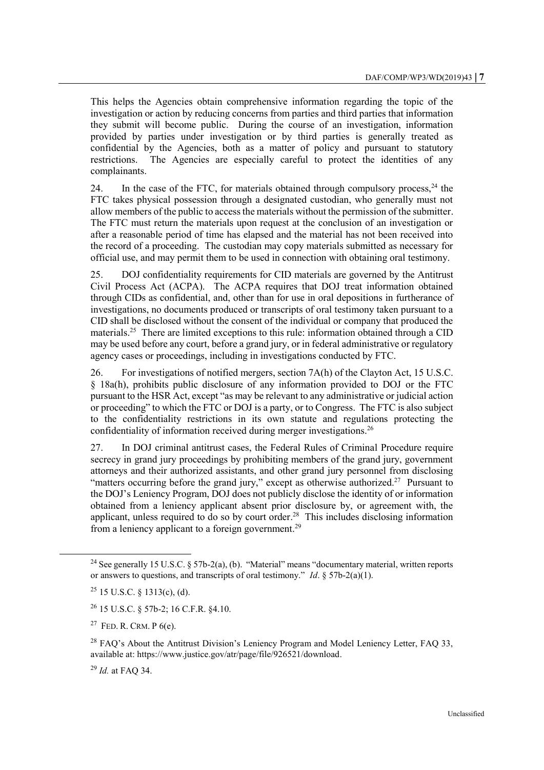This helps the Agencies obtain comprehensive information regarding the topic of the investigation or action by reducing concerns from parties and third parties that information they submit will become public. During the course of an investigation, information provided by parties under investigation or by third parties is generally treated as confidential by the Agencies, both as a matter of policy and pursuant to statutory restrictions. The Agencies are especially careful to protect the identities of any complainants.

24. In the case of the FTC, for materials obtained through compulsory process,  $24$  the FTC takes physical possession through a designated custodian, who generally must not allow members of the public to access the materials without the permission of the submitter. The FTC must return the materials upon request at the conclusion of an investigation or after a reasonable period of time has elapsed and the material has not been received into the record of a proceeding. The custodian may copy materials submitted as necessary for official use, and may permit them to be used in connection with obtaining oral testimony.

25. DOJ confidentiality requirements for CID materials are governed by the Antitrust Civil Process Act (ACPA). The ACPA requires that DOJ treat information obtained through CIDs as confidential, and, other than for use in oral depositions in furtherance of investigations, no documents produced or transcripts of oral testimony taken pursuant to a CID shall be disclosed without the consent of the individual or company that produced the materials.<sup>25</sup> There are limited exceptions to this rule: information obtained through a CID may be used before any court, before a grand jury, or in federal administrative or regulatory agency cases or proceedings, including in investigations conducted by FTC.

26. For investigations of notified mergers, section 7A(h) of the Clayton Act, 15 U.S.C. § 18a(h), prohibits public disclosure of any information provided to DOJ or the FTC pursuant to the HSR Act, except "as may be relevant to any administrative or judicial action or proceeding" to which the FTC or DOJ is a party, or to Congress. The FTC is also subject to the confidentiality restrictions in its own statute and regulations protecting the confidentiality of information received during merger investigations.<sup>26</sup>

27. In DOJ criminal antitrust cases, the Federal Rules of Criminal Procedure require secrecy in grand jury proceedings by prohibiting members of the grand jury, government attorneys and their authorized assistants, and other grand jury personnel from disclosing "matters occurring before the grand jury," except as otherwise authorized.<sup>27</sup> Pursuant to the DOJ's Leniency Program, DOJ does not publicly disclose the identity of or information obtained from a leniency applicant absent prior disclosure by, or agreement with, the applicant, unless required to do so by court order.<sup>28</sup> This includes disclosing information from a leniency applicant to a foreign government.<sup>29</sup>

<sup>&</sup>lt;sup>24</sup> See generally 15 U.S.C. § 57b-2(a), (b). "Material" means "documentary material, written reports or answers to questions, and transcripts of oral testimony." *Id*. § 57b-2(a)(1).

 $25$  15 U.S.C. § 1313(c), (d).

<sup>26</sup> 15 U.S.C. § 57b-2; 16 C.F.R. §4.10.

<sup>&</sup>lt;sup>27</sup> FED. R. CRM. P  $6(e)$ .

 $28$  FAQ's About the Antitrust Division's Leniency Program and Model Leniency Letter, FAQ 33, available at: https://www.justice.gov/atr/page/file/926521/download.

<sup>29</sup> *Id.* at FAQ 34.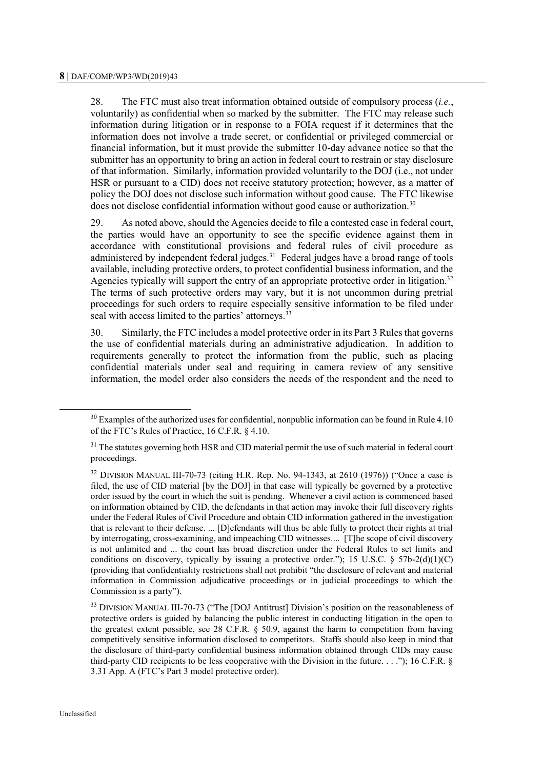28. The FTC must also treat information obtained outside of compulsory process (*i.e.*, voluntarily) as confidential when so marked by the submitter. The FTC may release such information during litigation or in response to a FOIA request if it determines that the information does not involve a trade secret, or confidential or privileged commercial or financial information, but it must provide the submitter 10-day advance notice so that the submitter has an opportunity to bring an action in federal court to restrain or stay disclosure of that information. Similarly, information provided voluntarily to the DOJ (i.e., not under HSR or pursuant to a CID) does not receive statutory protection; however, as a matter of policy the DOJ does not disclose such information without good cause. The FTC likewise does not disclose confidential information without good cause or authorization.<sup>30</sup>

29. As noted above, should the Agencies decide to file a contested case in federal court, the parties would have an opportunity to see the specific evidence against them in accordance with constitutional provisions and federal rules of civil procedure as administered by independent federal judges. $31$  Federal judges have a broad range of tools available, including protective orders, to protect confidential business information, and the Agencies typically will support the entry of an appropriate protective order in litigation.<sup>32</sup> The terms of such protective orders may vary, but it is not uncommon during pretrial proceedings for such orders to require especially sensitive information to be filed under seal with access limited to the parties' attorneys.<sup>33</sup>

30. Similarly, the FTC includes a model protective order in its Part 3 Rules that governs the use of confidential materials during an administrative adjudication. In addition to requirements generally to protect the information from the public, such as placing confidential materials under seal and requiring in camera review of any sensitive information, the model order also considers the needs of the respondent and the need to

 $30$  Examples of the authorized uses for confidential, nonpublic information can be found in Rule 4.10 of the FTC's Rules of Practice, 16 C.F.R. § 4.10.

 $31$  The statutes governing both HSR and CID material permit the use of such material in federal court proceedings.

 $32$  DIVISION MANUAL III-70-73 (citing H.R. Rep. No. 94-1343, at 2610 (1976)) ("Once a case is filed, the use of CID material [by the DOJ] in that case will typically be governed by a protective order issued by the court in which the suit is pending. Whenever a civil action is commenced based on information obtained by CID, the defendants in that action may invoke their full discovery rights under the Federal Rules of Civil Procedure and obtain CID information gathered in the investigation that is relevant to their defense. ... [D]efendants will thus be able fully to protect their rights at trial by interrogating, cross-examining, and impeaching CID witnesses.... [T]he scope of civil discovery is not unlimited and ... the court has broad discretion under the Federal Rules to set limits and conditions on discovery, typically by issuing a protective order."); 15 U.S.C. § 57b-2(d)(1)(C) (providing that confidentiality restrictions shall not prohibit "the disclosure of relevant and material information in Commission adjudicative proceedings or in judicial proceedings to which the Commission is a party").

<sup>&</sup>lt;sup>33</sup> DIVISION MANUAL III-70-73 ("The [DOJ Antitrust] Division's position on the reasonableness of protective orders is guided by balancing the public interest in conducting litigation in the open to the greatest extent possible, see 28 C.F.R. § 50.9, against the harm to competition from having competitively sensitive information disclosed to competitors. Staffs should also keep in mind that the disclosure of third-party confidential business information obtained through CIDs may cause third-party CID recipients to be less cooperative with the Division in the future. . . ."); 16 C.F.R. § 3.31 App. A (FTC's Part 3 model protective order).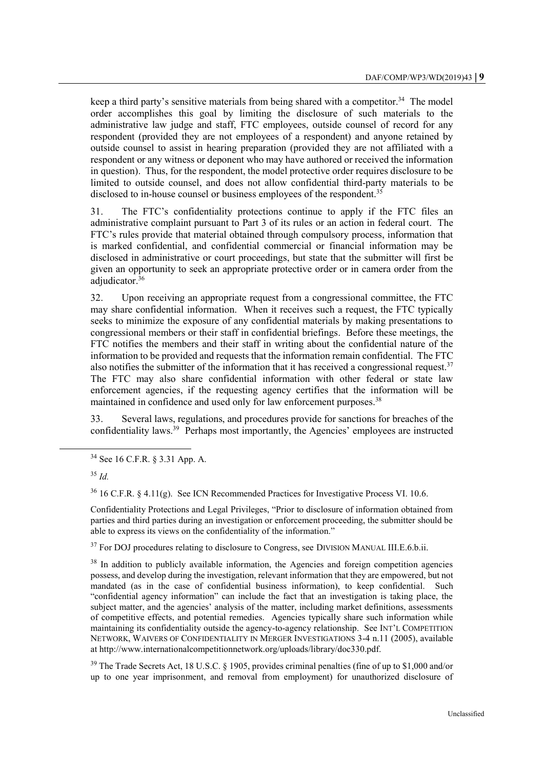keep a third party's sensitive materials from being shared with a competitor.<sup>34</sup> The model order accomplishes this goal by limiting the disclosure of such materials to the administrative law judge and staff, FTC employees, outside counsel of record for any respondent (provided they are not employees of a respondent) and anyone retained by outside counsel to assist in hearing preparation (provided they are not affiliated with a respondent or any witness or deponent who may have authored or received the information in question). Thus, for the respondent, the model protective order requires disclosure to be limited to outside counsel, and does not allow confidential third-party materials to be disclosed to in-house counsel or business employees of the respondent.<sup>35</sup>

31. The FTC's confidentiality protections continue to apply if the FTC files an administrative complaint pursuant to Part 3 of its rules or an action in federal court. The FTC's rules provide that material obtained through compulsory process, information that is marked confidential, and confidential commercial or financial information may be disclosed in administrative or court proceedings, but state that the submitter will first be given an opportunity to seek an appropriate protective order or in camera order from the adjudicator.<sup>36</sup>

32. Upon receiving an appropriate request from a congressional committee, the FTC may share confidential information. When it receives such a request, the FTC typically seeks to minimize the exposure of any confidential materials by making presentations to congressional members or their staff in confidential briefings. Before these meetings, the FTC notifies the members and their staff in writing about the confidential nature of the information to be provided and requests that the information remain confidential. The FTC also notifies the submitter of the information that it has received a congressional request.<sup>37</sup> The FTC may also share confidential information with other federal or state law enforcement agencies, if the requesting agency certifies that the information will be maintained in confidence and used only for law enforcement purposes.<sup>38</sup>

33. Several laws, regulations, and procedures provide for sanctions for breaches of the confidentiality laws.<sup>39</sup> Perhaps most importantly, the Agencies' employees are instructed

l

 $36$  16 C.F.R. § 4.11(g). See ICN Recommended Practices for Investigative Process VI. 10.6.

Confidentiality Protections and Legal Privileges, "Prior to disclosure of information obtained from parties and third parties during an investigation or enforcement proceeding, the submitter should be able to express its views on the confidentiality of the information."

<sup>37</sup> For DOJ procedures relating to disclosure to Congress, see DIVISION MANUAL III.E.6.b.ii.

 $38$  In addition to publicly available information, the Agencies and foreign competition agencies possess, and develop during the investigation, relevant information that they are empowered, but not mandated (as in the case of confidential business information), to keep confidential. Such "confidential agency information" can include the fact that an investigation is taking place, the subject matter, and the agencies' analysis of the matter, including market definitions, assessments of competitive effects, and potential remedies. Agencies typically share such information while maintaining its confidentiality outside the agency-to-agency relationship. See INT'L COMPETITION NETWORK, WAIVERS OF CONFIDENTIALITY IN MERGER INVESTIGATIONS 3-4 n.11 (2005), available at http://www.internationalcompetitionnetwork.org/uploads/library/doc330.pdf.

<sup>39</sup> The Trade Secrets Act, 18 U.S.C. § 1905, provides criminal penalties (fine of up to \$1,000 and/or up to one year imprisonment, and removal from employment) for unauthorized disclosure of

<sup>34</sup> See 16 C.F.R. § 3.31 App. A.

<sup>35</sup> *Id.*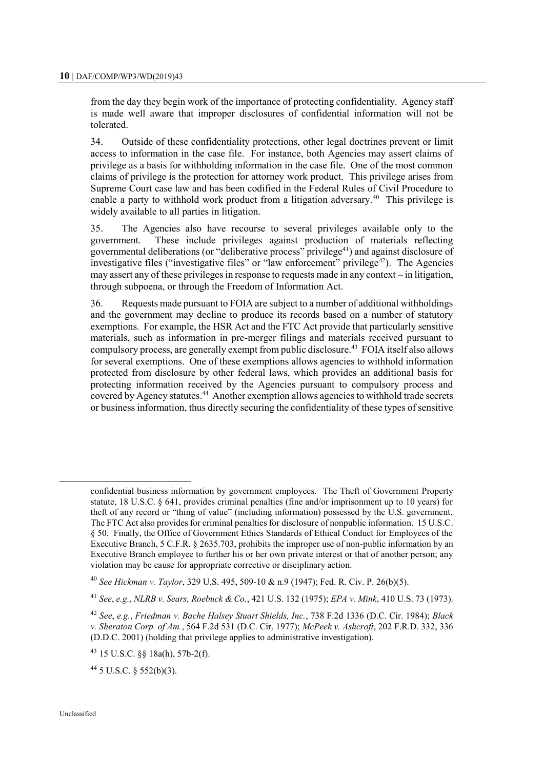from the day they begin work of the importance of protecting confidentiality. Agency staff is made well aware that improper disclosures of confidential information will not be tolerated.

34. Outside of these confidentiality protections, other legal doctrines prevent or limit access to information in the case file. For instance, both Agencies may assert claims of privilege as a basis for withholding information in the case file. One of the most common claims of privilege is the protection for attorney work product. This privilege arises from Supreme Court case law and has been codified in the Federal Rules of Civil Procedure to enable a party to withhold work product from a litigation adversary.<sup>40</sup> This privilege is widely available to all parties in litigation.

35. The Agencies also have recourse to several privileges available only to the government. These include privileges against production of materials reflecting governmental deliberations (or "deliberative process" privilege<sup>41</sup>) and against disclosure of investigative files ("investigative files" or "law enforcement" privilege<sup>42</sup>). The Agencies may assert any of these privileges in response to requests made in any context – in litigation, through subpoena, or through the Freedom of Information Act.

36. Requests made pursuant to FOIA are subject to a number of additional withholdings and the government may decline to produce its records based on a number of statutory exemptions. For example, the HSR Act and the FTC Act provide that particularly sensitive materials, such as information in pre-merger filings and materials received pursuant to compulsory process, are generally exempt from public disclosure.<sup>43</sup> FOIA itself also allows for several exemptions. One of these exemptions allows agencies to withhold information protected from disclosure by other federal laws, which provides an additional basis for protecting information received by the Agencies pursuant to compulsory process and covered by Agency statutes.<sup>44</sup> Another exemption allows agencies to withhold trade secrets or business information, thus directly securing the confidentiality of these types of sensitive

confidential business information by government employees. The Theft of Government Property statute, 18 U.S.C. § 641, provides criminal penalties (fine and/or imprisonment up to 10 years) for theft of any record or "thing of value" (including information) possessed by the U.S. government. The FTC Act also provides for criminal penalties for disclosure of nonpublic information. 15 U.S.C. § 50. Finally, the Office of Government Ethics Standards of Ethical Conduct for Employees of the Executive Branch, 5 C.F.R. § 2635.703, prohibits the improper use of non-public information by an Executive Branch employee to further his or her own private interest or that of another person; any violation may be cause for appropriate corrective or disciplinary action.

<sup>40</sup> *See Hickman v. Taylor*, 329 U.S. 495, 509-10 & n.9 (1947); Fed. R. Civ. P. 26(b)(5).

<sup>41</sup> *See*, *e.g.*, *NLRB v. Sears, Roebuck & Co.*, 421 U.S. 132 (1975); *EPA v. Mink*, 410 U.S. 73 (1973).

<sup>42</sup> *See*, *e.g.*, *Friedman v. Bache Halsey Stuart Shields, Inc.*, 738 F.2d 1336 (D.C. Cir. 1984); *Black v. Sheraton Corp. of Am.*, 564 F.2d 531 (D.C. Cir. 1977); *McPeek v. Ashcroft*, 202 F.R.D. 332, 336 (D.D.C. 2001) (holding that privilege applies to administrative investigation).

<sup>43</sup> 15 U.S.C. §§ 18a(h), 57b-2(f).

 $44$  5 U.S.C. § 552(b)(3).